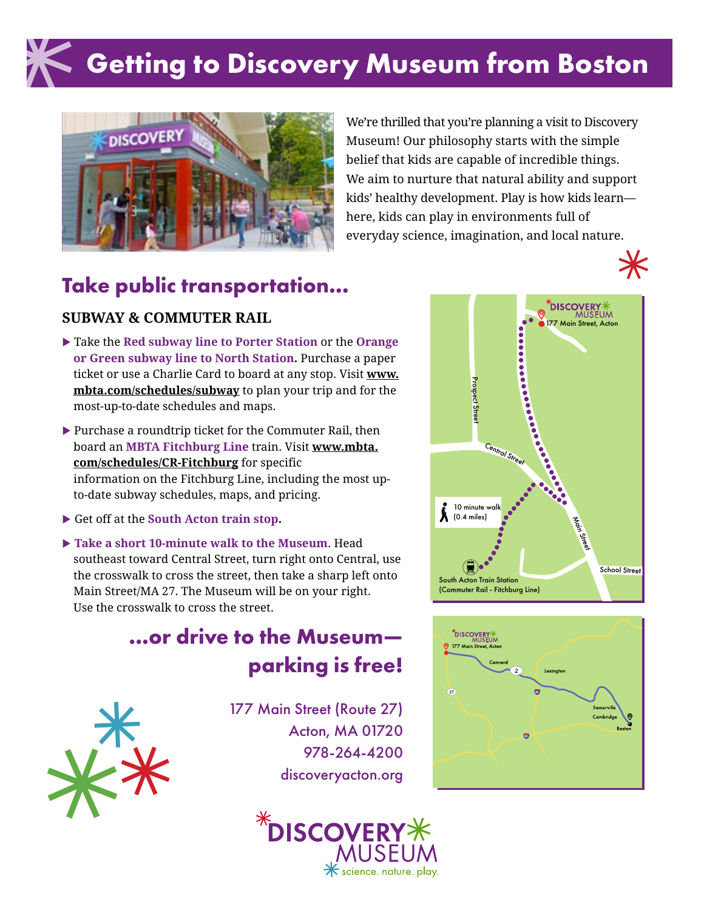# **Getting to Discovery Museum from Boston**



We're thrilled that you're planning a visit to Discovery Museum! Our philosophy starts with the simple belief that kids are capable of incredible things. We aim to nurture that natural ability and support kids' healthy development. Play is how kids learn here, kids can play in environments full of everyday science, imagination, and local nature.

#### **Take public transportation...**

#### **SUBWAY & COMMUTER RAIL**

- **Example 1** Take the **Red subway line to Porter Station** or the **Orange or Green subway line to North Station.** Purchase a paper ticket or use a Charlie Card to board at any stop. Visit **www. mbta.com/schedules/subway** to plan your trip and for the most-up-to-date schedules and maps.
- $\blacktriangleright$  Purchase a roundtrip ticket for the Commuter Rail, then board an **MBTA Fitchburg Line** train. Visit **www.mbta. com/schedules/CR-Fitchburg** for specific information on the Fitchburg Line, including the most upto-date subway schedules, maps, and pricing.
- Get off at the **South Acton train stop.**
- ▶ Take a short 10-minute walk to the Museum. Head southeast toward Central Street, turn right onto Central, use the crosswalk to cross the street, then take a sharp left onto Main Street/MA 27. The Museum will be on your right. Use the crosswalk to cross the street.

#### **...or drive to the Museum parking is free!**



177 Main Street (Route 27) Acton, MA 01720 978-264-4200 discoveryacton.org